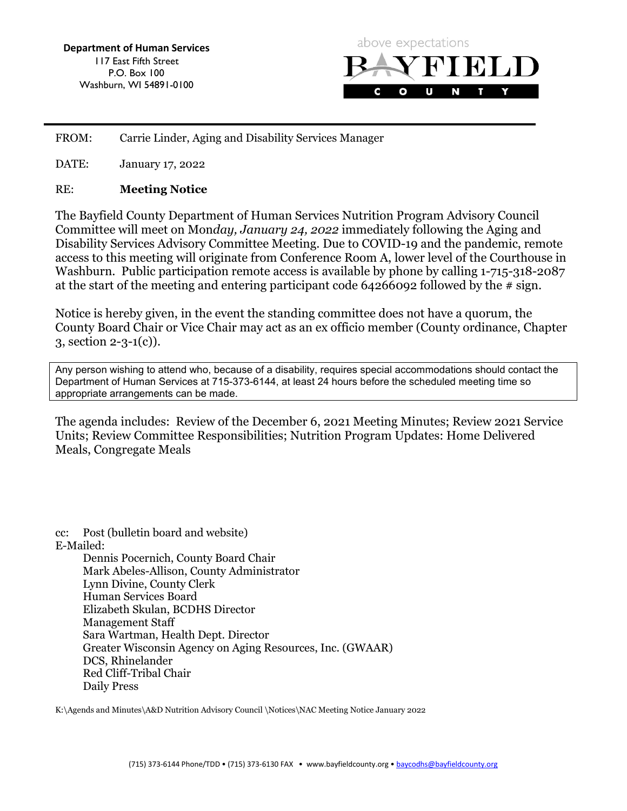Department of Human Services 117 East Fifth Street P.O. Box 100 Washburn, WI 54891-0100



 FROM: Carrie Linder, Aging and Disability Services Manager

DATE: January 17, 2022

#### RE: Meeting Notice

The Bayfield County Department of Human Services Nutrition Program Advisory Council Committee will meet on Mon*day, January 24, 2022* immediately following the Aging and Disability Services Advisory Committee Meeting. Due to COVID-19 and the pandemic, remote access to this meeting will originate from Conference Room A, lower level of the Courthouse in Washburn. Public participation remote access is available by phone by calling 1-715-318-2087 at the start of the meeting and entering participant code 64266092 followed by the # sign.

Notice is hereby given, in the event the standing committee does not have a quorum, the County Board Chair or Vice Chair may act as an ex officio member (County ordinance, Chapter 3, section 2-3-1(c)).

Any person wishing to attend who, because of a disability, requires special accommodations should contact the Department of Human Services at 715-373-6144, at least 24 hours before the scheduled meeting time so appropriate arrangements can be made.

The agenda includes: Review of the December 6, 2021 Meeting Minutes; Review 2021 Service Units; Review Committee Responsibilities; Nutrition Program Updates: Home Delivered Meals, Congregate Meals

cc: Post (bulletin board and website) E-Mailed: Dennis Pocernich, County Board Chair Mark Abeles-Allison, County Administrator Lynn Divine, County Clerk Human Services Board Elizabeth Skulan, BCDHS Director Management Staff Sara Wartman, Health Dept. Director Greater Wisconsin Agency on Aging Resources, Inc. (GWAAR) DCS, Rhinelander Red Cliff-Tribal Chair Daily Press

K:\Agends and Minutes\A&D Nutrition Advisory Council \Notices\NAC Meeting Notice January 2022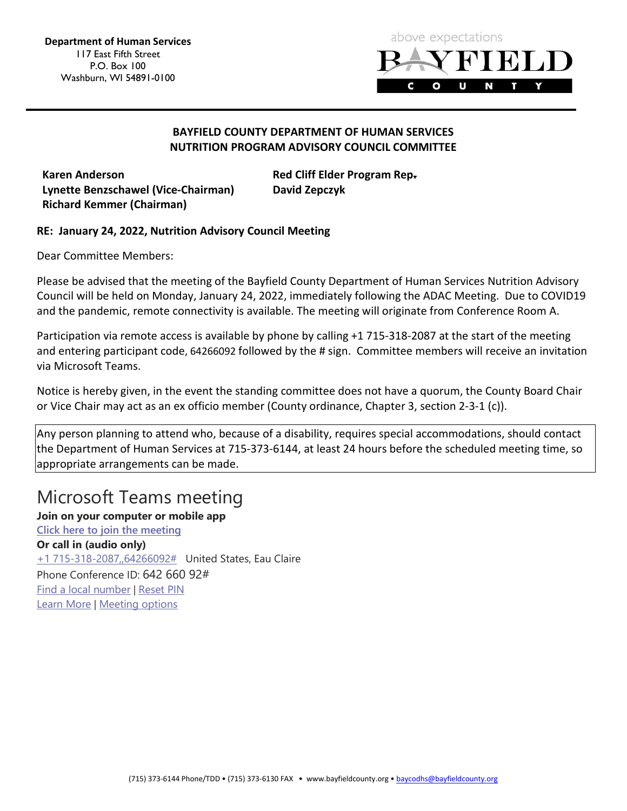

## BAYFIELD COUNTY DEPARTMENT OF HUMAN SERVICES NUTRITION PROGRAM ADVISORY COUNCIL COMMITTEE

Karen Anderson **Red Cliff Elder Program Rep.** Red Cliff Elder Program Rep. Lynette Benzschawel (Vice-Chairman) David Zepczyk Richard Kemmer (Chairman)

## RE: January 24, 2022, Nutrition Advisory Council Meeting

Dear Committee Members:

Please be advised that the meeting of the Bayfield County Department of Human Services Nutrition Advisory Council will be held on Monday, January 24, 2022, immediately following the ADAC Meeting. Due to COVID19 and the pandemic, remote connectivity is available. The meeting will originate from Conference Room A.

Participation via remote access is available by phone by calling +1 715-318-2087 at the start of the meeting and entering participant code, 64266092 followed by the # sign. Committee members will receive an invitation via Microsoft Teams.

Notice is hereby given, in the event the standing committee does not have a quorum, the County Board Chair or Vice Chair may act as an ex officio member (County ordinance, Chapter 3, section 2-3-1 (c)).

Any person planning to attend who, because of a disability, requires special accommodations, should contact the Department of Human Services at 715-373-6144, at least 24 hours before the scheduled meeting time, so appropriate arrangements can be made.

# Microsoft Teams meeting

Join on your computer or mobile app [Click here to join the meeting](https://gcc02.safelinks.protection.outlook.com/ap/t-59584e83/?url=https%3A%2F%2Fteams.microsoft.com%2Fl%2Fmeetup-join%2F19%253ameeting_NzJlZTgzZTMtNDc3ZS00ZGMwLTkzODItYmY3ODA2YTEzODA3%2540thread.v2%2F0%3Fcontext%3D%257b%2522Tid%2522%253a%2522145ec30e-5769-40e2-8a4c-fe09ea9581bf%2522%252c%2522Oid%2522%253a%252287bf221e-f129-4bfe-99ae-8e498144dcb7%2522%257d&data=04%7C01%7Cheather.gilbertson%40bayfieldcounty.wi.gov%7C26f2c8e68a914c7846b108d9d9ed3a15%7C145ec30e576940e28a4cfe09ea9581bf%7C0%7C0%7C637780435168110107%7CUnknown%7CTWFpbGZsb3d8eyJWIjoiMC4wLjAwMDAiLCJQIjoiV2luMzIiLCJBTiI6Ik1haWwiLCJXVCI6Mn0%3D%7C3000&sdata=CSTY3%2B3po4UBxH85q5Imf5pqqvl62qSFqiS2P4Q4K1Y%3D&reserved=0) Or call in (audio only) +1 715-318-2087,,64266092# United States, Eau Claire Phone Conference ID: 642 660 92# [Find a local number](https://gcc02.safelinks.protection.outlook.com/?url=https%3A%2F%2Fdialin.teams.microsoft.com%2F9b4f001a-1165-4cc7-9eb9-73599e1f4a29%3Fid%3D64266092&data=04%7C01%7Cheather.gilbertson%40bayfieldcounty.wi.gov%7C26f2c8e68a914c7846b108d9d9ed3a15%7C145ec30e576940e28a4cfe09ea9581bf%7C0%7C0%7C637780435168110107%7CUnknown%7CTWFpbGZsb3d8eyJWIjoiMC4wLjAwMDAiLCJQIjoiV2luMzIiLCJBTiI6Ik1haWwiLCJXVCI6Mn0%3D%7C3000&sdata=18Yy2XfjOoXi1CRwv7wNVF53UKL0qCs%2FXYrjG51GFbQ%3D&reserved=0) | [Reset PIN](https://gcc02.safelinks.protection.outlook.com/?url=https%3A%2F%2Fmysettings.lync.com%2Fpstnconferencing&data=04%7C01%7Cheather.gilbertson%40bayfieldcounty.wi.gov%7C26f2c8e68a914c7846b108d9d9ed3a15%7C145ec30e576940e28a4cfe09ea9581bf%7C0%7C0%7C637780435168110107%7CUnknown%7CTWFpbGZsb3d8eyJWIjoiMC4wLjAwMDAiLCJQIjoiV2luMzIiLCJBTiI6Ik1haWwiLCJXVCI6Mn0%3D%7C3000&sdata=t2%2FVfdnGrs60GC9vfkCJ8p3LscBxJcOwoll2v55k%2BG8%3D&reserved=0) [Learn More](https://gcc02.safelinks.protection.outlook.com/?url=https%3A%2F%2Faka.ms%2FJoinTeamsMeeting&data=04%7C01%7Cheather.gilbertson%40bayfieldcounty.wi.gov%7C26f2c8e68a914c7846b108d9d9ed3a15%7C145ec30e576940e28a4cfe09ea9581bf%7C0%7C0%7C637780435168110107%7CUnknown%7CTWFpbGZsb3d8eyJWIjoiMC4wLjAwMDAiLCJQIjoiV2luMzIiLCJBTiI6Ik1haWwiLCJXVCI6Mn0%3D%7C3000&sdata=2lD9P0pW%2FiydvFG45EfEtb4MYZAQXGTIFd9GaL0L0eI%3D&reserved=0) | [Meeting options](https://gcc02.safelinks.protection.outlook.com/?url=https%3A%2F%2Fteams.microsoft.com%2FmeetingOptions%2F%3ForganizerId%3D87bf221e-f129-4bfe-99ae-8e498144dcb7%26tenantId%3D145ec30e-5769-40e2-8a4c-fe09ea9581bf%26threadId%3D19_meeting_NzJlZTgzZTMtNDc3ZS00ZGMwLTkzODItYmY3ODA2YTEzODA3%40thread.v2%26messageId%3D0%26language%3Den-US&data=04%7C01%7Cheather.gilbertson%40bayfieldcounty.wi.gov%7C26f2c8e68a914c7846b108d9d9ed3a15%7C145ec30e576940e28a4cfe09ea9581bf%7C0%7C0%7C637780435168110107%7CUnknown%7CTWFpbGZsb3d8eyJWIjoiMC4wLjAwMDAiLCJQIjoiV2luMzIiLCJBTiI6Ik1haWwiLCJXVCI6Mn0%3D%7C3000&sdata=4G%2BzinzrzA8qlYZyPtEIlY9pUBLtihE98JGBY%2BPoVqM%3D&reserved=0)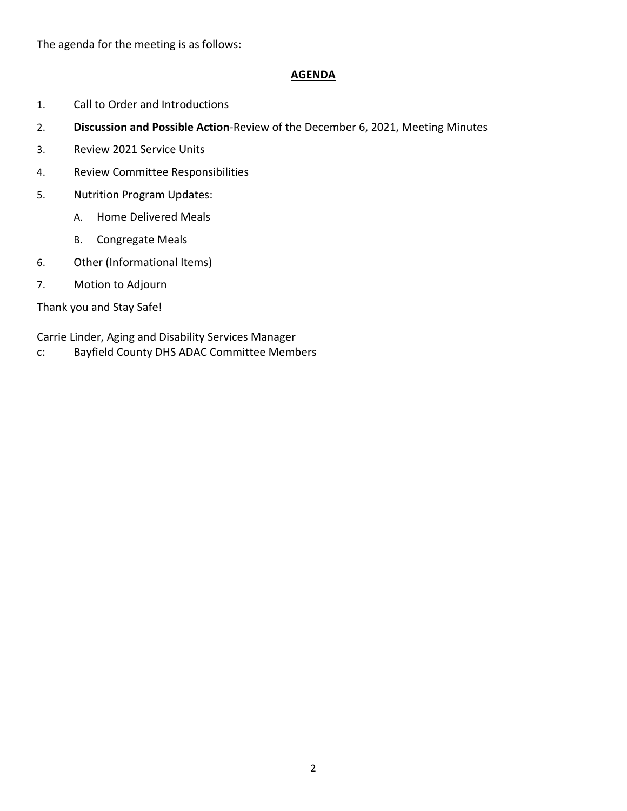The agenda for the meeting is as follows:

#### AGENDA

- 1. Call to Order and Introductions
- 2. Discussion and Possible Action-Review of the December 6, 2021, Meeting Minutes
- 3. Review 2021 Service Units
- 4. Review Committee Responsibilities
- 5. Nutrition Program Updates:
	- A. Home Delivered Meals
	- B. Congregate Meals
- 6. Other (Informational Items)
- 7. Motion to Adjourn

Thank you and Stay Safe!

Carrie Linder, Aging and Disability Services Manager

c: Bayfield County DHS ADAC Committee Members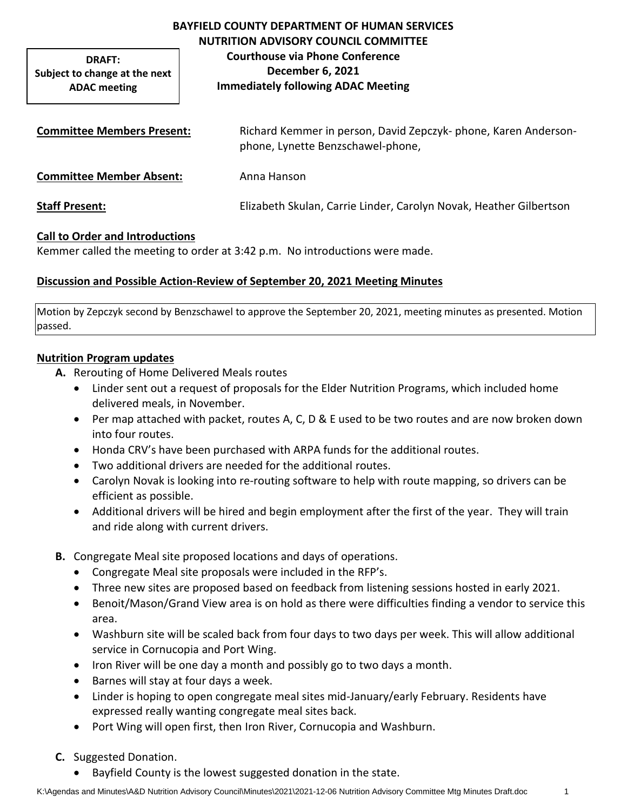**DRAFT: Subject to change at the next ADAC meeting**

# **BAYFIELD COUNTY DEPARTMENT OF HUMAN SERVICES NUTRITION ADVISORY COUNCIL COMMITTEE Courthouse via Phone Conference December 6, 2021 Immediately following ADAC Meeting**

| <b>Committee Members Present:</b> | Richard Kemmer in person, David Zepczyk- phone, Karen Anderson-<br>phone, Lynette Benzschawel-phone, |
|-----------------------------------|------------------------------------------------------------------------------------------------------|
| <b>Committee Member Absent:</b>   | Anna Hanson                                                                                          |
| <b>Staff Present:</b>             | Elizabeth Skulan, Carrie Linder, Carolyn Novak, Heather Gilbertson                                   |

## **Call to Order and Introductions**

Kemmer called the meeting to order at 3:42 p.m. No introductions were made.

#### **Discussion and Possible Action-Review of September 20, 2021 Meeting Minutes**

Motion by Zepczyk second by Benzschawel to approve the September 20, 2021, meeting minutes as presented. Motion passed.

#### **Nutrition Program updates**

- **A.** Rerouting of Home Delivered Meals routes
	- Linder sent out a request of proposals for the Elder Nutrition Programs, which included home delivered meals, in November.
	- Per map attached with packet, routes A, C, D & E used to be two routes and are now broken down into four routes.
	- Honda CRV's have been purchased with ARPA funds for the additional routes.
	- Two additional drivers are needed for the additional routes.
	- Carolyn Novak is looking into re-routing software to help with route mapping, so drivers can be efficient as possible.
	- Additional drivers will be hired and begin employment after the first of the year. They will train and ride along with current drivers.
- **B.** Congregate Meal site proposed locations and days of operations.
	- Congregate Meal site proposals were included in the RFP's.
	- Three new sites are proposed based on feedback from listening sessions hosted in early 2021.
	- Benoit/Mason/Grand View area is on hold as there were difficulties finding a vendor to service this area.
	- Washburn site will be scaled back from four days to two days per week. This will allow additional service in Cornucopia and Port Wing.
	- Iron River will be one day a month and possibly go to two days a month.
	- Barnes will stay at four days a week.
	- Linder is hoping to open congregate meal sites mid-January/early February. Residents have expressed really wanting congregate meal sites back.
	- Port Wing will open first, then Iron River, Cornucopia and Washburn.
- **C.** Suggested Donation.
	- Bayfield County is the lowest suggested donation in the state.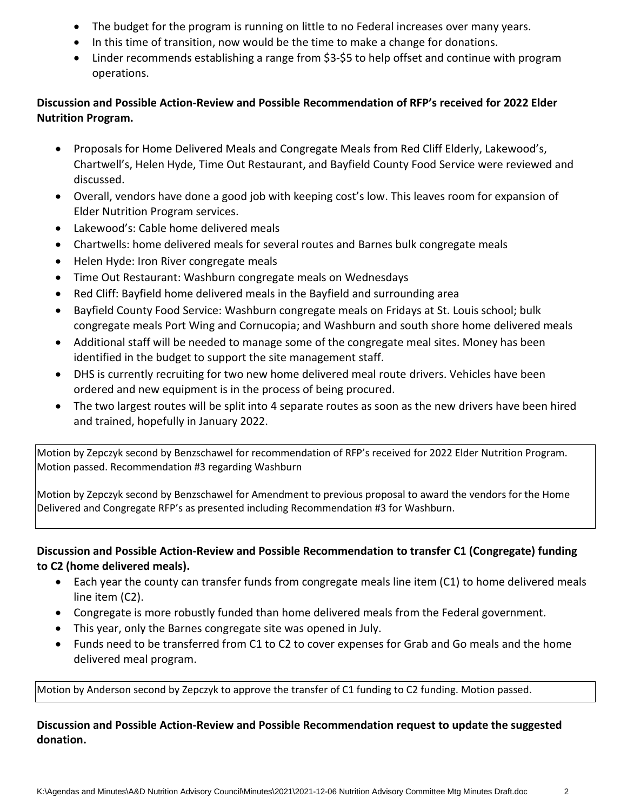- The budget for the program is running on little to no Federal increases over many years.
- In this time of transition, now would be the time to make a change for donations.
- Linder recommends establishing a range from \$3-\$5 to help offset and continue with program operations.

## **Discussion and Possible Action-Review and Possible Recommendation of RFP's received for 2022 Elder Nutrition Program.**

- Proposals for Home Delivered Meals and Congregate Meals from Red Cliff Elderly, Lakewood's, Chartwell's, Helen Hyde, Time Out Restaurant, and Bayfield County Food Service were reviewed and discussed.
- Overall, vendors have done a good job with keeping cost's low. This leaves room for expansion of Elder Nutrition Program services.
- Lakewood's: Cable home delivered meals
- Chartwells: home delivered meals for several routes and Barnes bulk congregate meals
- Helen Hyde: Iron River congregate meals
- Time Out Restaurant: Washburn congregate meals on Wednesdays
- Red Cliff: Bayfield home delivered meals in the Bayfield and surrounding area
- Bayfield County Food Service: Washburn congregate meals on Fridays at St. Louis school; bulk congregate meals Port Wing and Cornucopia; and Washburn and south shore home delivered meals
- Additional staff will be needed to manage some of the congregate meal sites. Money has been identified in the budget to support the site management staff.
- DHS is currently recruiting for two new home delivered meal route drivers. Vehicles have been ordered and new equipment is in the process of being procured.
- The two largest routes will be split into 4 separate routes as soon as the new drivers have been hired and trained, hopefully in January 2022.

Motion by Zepczyk second by Benzschawel for recommendation of RFP's received for 2022 Elder Nutrition Program. Motion passed. Recommendation #3 regarding Washburn

Motion by Zepczyk second by Benzschawel for Amendment to previous proposal to award the vendors for the Home Delivered and Congregate RFP's as presented including Recommendation #3 for Washburn.

# **Discussion and Possible Action-Review and Possible Recommendation to transfer C1 (Congregate) funding to C2 (home delivered meals).**

- Each year the county can transfer funds from congregate meals line item (C1) to home delivered meals line item (C2).
- Congregate is more robustly funded than home delivered meals from the Federal government.
- This year, only the Barnes congregate site was opened in July.
- Funds need to be transferred from C1 to C2 to cover expenses for Grab and Go meals and the home delivered meal program.

Motion by Anderson second by Zepczyk to approve the transfer of C1 funding to C2 funding. Motion passed.

# **Discussion and Possible Action-Review and Possible Recommendation request to update the suggested donation.**